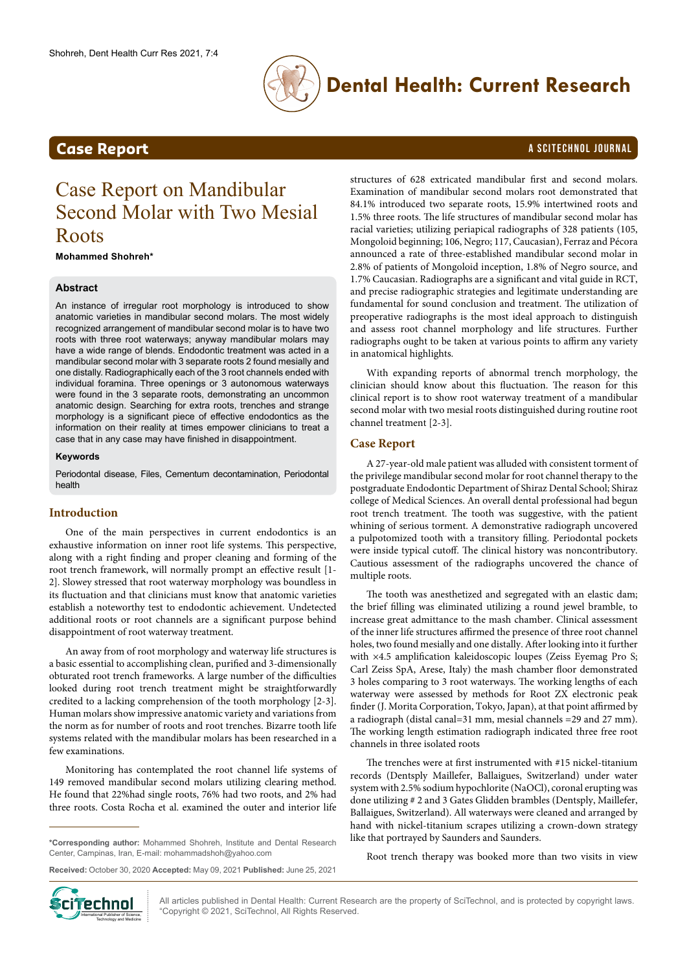

## **Dental Health: Current Research**

## **Case Report** A SCITECHNOL JOURNAL

# Case Report on Mandibular Second Molar with Two Mesial Roots

**Mohammed Shohreh\***

#### **Abstract**

An instance of irregular root morphology is introduced to show anatomic varieties in mandibular second molars. The most widely recognized arrangement of mandibular second molar is to have two roots with three root waterways; anyway mandibular molars may have a wide range of blends. Endodontic treatment was acted in a mandibular second molar with 3 separate roots 2 found mesially and one distally. Radiographically each of the 3 root channels ended with individual foramina. Three openings or 3 autonomous waterways were found in the 3 separate roots, demonstrating an uncommon anatomic design. Searching for extra roots, trenches and strange morphology is a significant piece of effective endodontics as the information on their reality at times empower clinicians to treat a case that in any case may have finished in disappointment.

#### **Keywords**

Periodontal disease, Files, Cementum decontamination, Periodontal health

#### **Introduction**

One of the main perspectives in current endodontics is an exhaustive information on inner root life systems. This perspective, along with a right finding and proper cleaning and forming of the root trench framework, will normally prompt an effective result [1- 2]. Slowey stressed that root waterway morphology was boundless in its fluctuation and that clinicians must know that anatomic varieties establish a noteworthy test to endodontic achievement. Undetected additional roots or root channels are a significant purpose behind disappointment of root waterway treatment.

An away from of root morphology and waterway life structures is a basic essential to accomplishing clean, purified and 3-dimensionally obturated root trench frameworks. A large number of the difficulties looked during root trench treatment might be straightforwardly credited to a lacking comprehension of the tooth morphology [2-3]. Human molars show impressive anatomic variety and variations from the norm as for number of roots and root trenches. Bizarre tooth life systems related with the mandibular molars has been researched in a few examinations.

Monitoring has contemplated the root channel life systems of 149 removed mandibular second molars utilizing clearing method. He found that 22%had single roots, 76% had two roots, and 2% had three roots. Costa Rocha et al. examined the outer and interior life

**\*Corresponding author:** Mohammed Shohreh, Institute and Dental Research Center, Campinas, Iran, E-mail: mohammadshoh@yahoo.com

structures of 628 extricated mandibular first and second molars. Examination of mandibular second molars root demonstrated that 84.1% introduced two separate roots, 15.9% intertwined roots and 1.5% three roots. The life structures of mandibular second molar has racial varieties; utilizing periapical radiographs of 328 patients (105, Mongoloid beginning; 106, Negro; 117, Caucasian), Ferraz and Pécora announced a rate of three-established mandibular second molar in 2.8% of patients of Mongoloid inception, 1.8% of Negro source, and 1.7% Caucasian. Radiographs are a significant and vital guide in RCT, and precise radiographic strategies and legitimate understanding are fundamental for sound conclusion and treatment. The utilization of preoperative radiographs is the most ideal approach to distinguish and assess root channel morphology and life structures. Further radiographs ought to be taken at various points to affirm any variety in anatomical highlights.

With expanding reports of abnormal trench morphology, the clinician should know about this fluctuation. The reason for this clinical report is to show root waterway treatment of a mandibular second molar with two mesial roots distinguished during routine root channel treatment [2-3].

#### **Case Report**

A 27-year-old male patient was alluded with consistent torment of the privilege mandibular second molar for root channel therapy to the postgraduate Endodontic Department of Shiraz Dental School; Shiraz college of Medical Sciences. An overall dental professional had begun root trench treatment. The tooth was suggestive, with the patient whining of serious torment. A demonstrative radiograph uncovered a pulpotomized tooth with a transitory filling. Periodontal pockets were inside typical cutoff. The clinical history was noncontributory. Cautious assessment of the radiographs uncovered the chance of multiple roots.

The tooth was anesthetized and segregated with an elastic dam; the brief filling was eliminated utilizing a round jewel bramble, to increase great admittance to the mash chamber. Clinical assessment of the inner life structures affirmed the presence of three root channel holes, two found mesially and one distally. After looking into it further with ×4.5 amplification kaleidoscopic loupes (Zeiss Eyemag Pro S; Carl Zeiss SpA, Arese, Italy) the mash chamber floor demonstrated 3 holes comparing to 3 root waterways. The working lengths of each waterway were assessed by methods for Root ZX electronic peak finder (J. Morita Corporation, Tokyo, Japan), at that point affirmed by a radiograph (distal canal=31 mm, mesial channels =29 and 27 mm). The working length estimation radiograph indicated three free root channels in three isolated roots

The trenches were at first instrumented with #15 nickel-titanium records (Dentsply Maillefer, Ballaigues, Switzerland) under water system with 2.5% sodium hypochlorite (NaOCl), coronal erupting was done utilizing # 2 and 3 Gates Glidden brambles (Dentsply, Maillefer, Ballaigues, Switzerland). All waterways were cleaned and arranged by hand with nickel-titanium scrapes utilizing a crown-down strategy like that portrayed by Saunders and Saunders.

Root trench therapy was booked more than two visits in view

**Received:** October 30, 2020 **Accepted:** May 09, 2021 **Published:** June 25, 2021



All articles published in Dental Health: Current Research are the property of SciTechnol, and is protected by copyright laws. "Copyright © 2021, SciTechnol, All Rights Reserved.